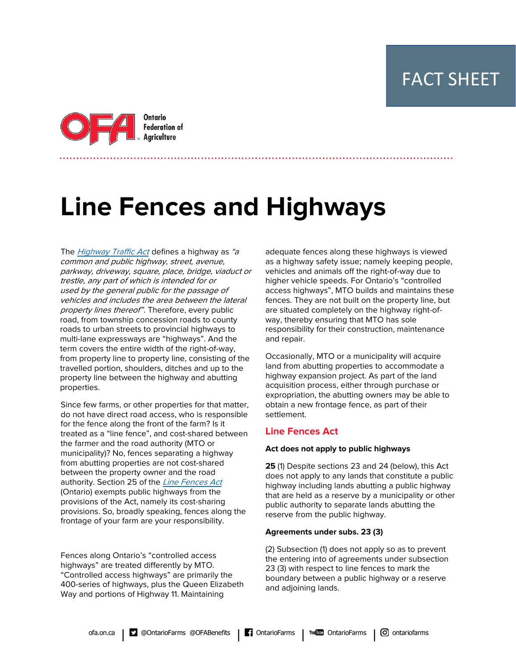FACT SHEET



# **Line Fences and Highways**

The *[Highway Traffic Act](https://www.ontario.ca/laws/statute/90h08)* defines a highway as "a" common and public highway, street, avenue, parkway, driveway, square, place, bridge, viaduct or trestle, any part of which is intended for or used by the general public for the passage of vehicles and includes the area between the lateral property lines thereof". Therefore, every public road, from township concession roads to county roads to urban streets to provincial highways to multi-lane expressways are "highways". And the term covers the entire width of the right-of-way, from property line to property line, consisting of the travelled portion, shoulders, ditches and up to the property line between the highway and abutting properties.

Since few farms, or other properties for that matter, do not have direct road access, who is responsible for the fence along the front of the farm? Is it treated as a "line fence", and cost-shared between the farmer and the road authority (MTO or municipality)? No, fences separating a highway from abutting properties are not cost-shared between the property owner and the road authority. Section 25 of the [Line Fences Act](https://www.ontario.ca/laws/statute/90l17) (Ontario) exempts public highways from the provisions of the Act, namely its cost-sharing provisions. So, broadly speaking, fences along the frontage of your farm are your responsibility.

Fences along Ontario's "controlled access highways" are treated differently by MTO. "Controlled access highways" are primarily the 400-series of highways, plus the Queen Elizabeth Way and portions of Highway 11. Maintaining

adequate fences along these highways is viewed as a highway safety issue; namely keeping people, vehicles and animals off the right-of-way due to higher vehicle speeds. For Ontario's "controlled access highways", MTO builds and maintains these fences. They are not built on the property line, but are situated completely on the highway right-ofway, thereby ensuring that MTO has sole responsibility for their construction, maintenance and repair.

Occasionally, MTO or a municipality will acquire land from abutting properties to accommodate a highway expansion project. As part of the land acquisition process, either through purchase or expropriation, the abutting owners may be able to obtain a new frontage fence, as part of their settlement.

## **Line Fences Act**

## **Act does not apply to public highways**

**25** (1) Despite sections 23 and 24 (below), this Act does not apply to any lands that constitute a public highway including lands abutting a public highway that are held as a reserve by a municipality or other public authority to separate lands abutting the reserve from the public highway.

## **Agreements under subs. 23 (3)**

(2) Subsection (1) does not apply so as to prevent the entering into of agreements under subsection 23 (3) with respect to line fences to mark the boundary between a public highway or a reserve and adjoining lands.